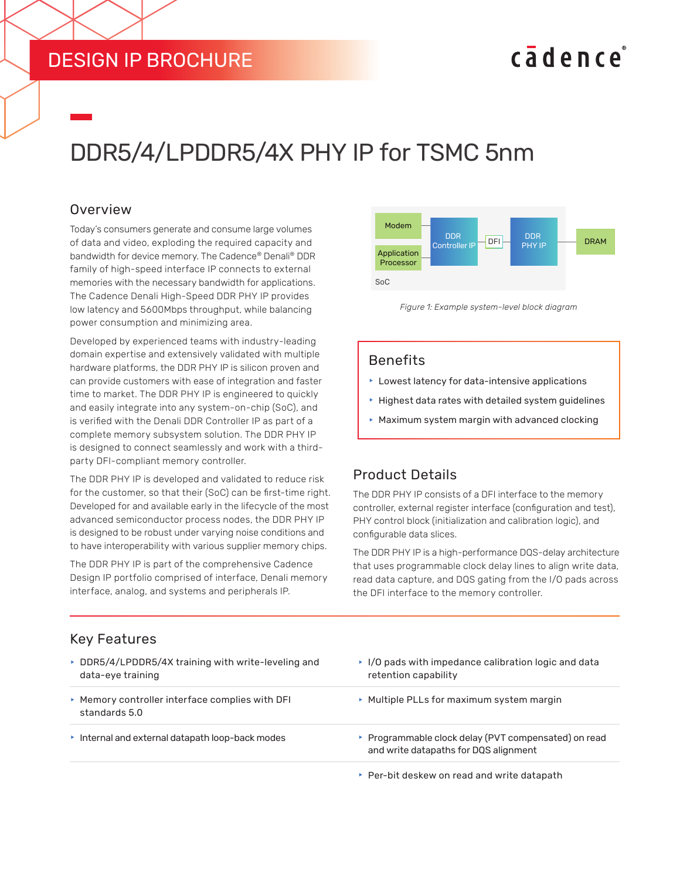## DESIGN IP BROCHURE

## cadence

# DDR5/4/LPDDR5/4X PHY IP for TSMC 5nm

#### **Overview**

Today's consumers generate and consume large volumes of data and video, exploding the required capacity and bandwidth for device memory. The Cadence® Denali® DDR family of high-speed interface IP connects to external memories with the necessary bandwidth for applications. The Cadence Denali High-Speed DDR PHY IP provides low latency and 5600Mbps throughput, while balancing power consumption and minimizing area.

Developed by experienced teams with industry-leading domain expertise and extensively validated with multiple hardware platforms, the DDR PHY IP is silicon proven and can provide customers with ease of integration and faster time to market. The DDR PHY IP is engineered to quickly and easily integrate into any system-on-chip (SoC), and is verified with the Denali DDR Controller IP as part of a complete memory subsystem solution. The DDR PHY IP is designed to connect seamlessly and work with a thirdparty DFI-compliant memory controller.

The DDR PHY IP is developed and validated to reduce risk for the customer, so that their (SoC) can be first-time right. Developed for and available early in the lifecycle of the most advanced semiconductor process nodes, the DDR PHY IP is designed to be robust under varying noise conditions and to have interoperability with various supplier memory chips.

The DDR PHY IP is part of the comprehensive Cadence Design IP portfolio comprised of interface, Denali memory interface, analog, and systems and peripherals IP.



*Figure 1: Example system-level block diagram*

#### Benefits

- $\blacktriangleright$  Lowest latency for data-intensive applications
- $\blacktriangleright$  Highest data rates with detailed system guidelines
- $\blacktriangleright$  Maximum system margin with advanced clocking

### Product Details

The DDR PHY IP consists of a DFI interface to the memory controller, external register interface (configuration and test), PHY control block (initialization and calibration logic), and configurable data slices.

The DDR PHY IP is a high-performance DQS-delay architecture that uses programmable clock delay lines to align write data, read data capture, and DQS gating from the I/O pads across the DFI interface to the memory controller.

### Key Features

- $\triangleright$  DDR5/4/LPDDR5/4X training with write-leveling and data-eye training
- $\blacktriangleright$  Memory controller interface complies with DFI standards 5.0
- 
- $\cdot$  I/O pads with impedance calibration logic and data retention capability
- **Multiple PLLs for maximum system margin**
- **h** Internal and external datapath loop-back modes **following** Programmable clock delay (PVT compensated) on read and write datapaths for DQS alignment
	- $\blacktriangleright$  Per-bit deskew on read and write datapath